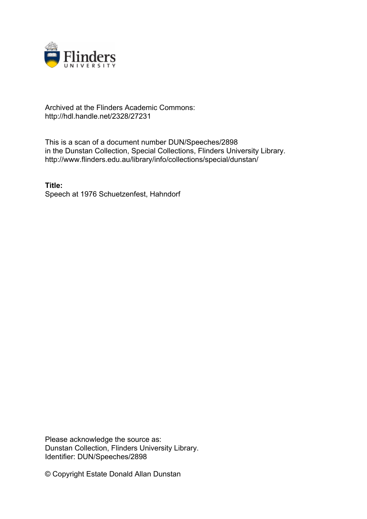

## Archived at the Flinders Academic Commons: http://hdl.handle.net/2328/27231

This is a scan of a document number DUN/Speeches/2898 in the Dunstan Collection, Special Collections, Flinders University Library. http://www.flinders.edu.au/library/info/collections/special/dunstan/

**Title:** Speech at 1976 Schuetzenfest, Hahndorf

Please acknowledge the source as: Dunstan Collection, Flinders University Library. Identifier: DUN/Speeches/2898

© Copyright Estate Donald Allan Dunstan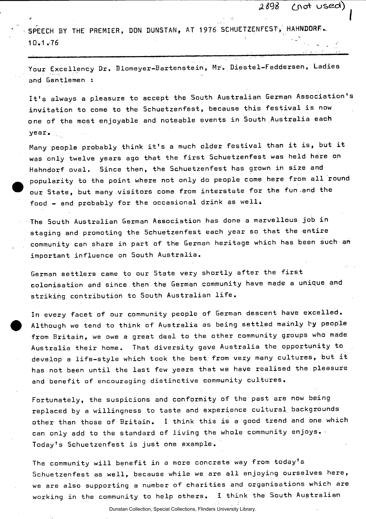*£898 CJ\O\** usee\*)

 $\bullet$  . We assume that the contract of the contract of  $\bullet$ 

SPEECH BY THE PREMIER, DON DUNSTAN, AT 1976 SCHUETZENFEST, HAHNDORF.  $10.7$  . The set of  $10$ 

Your Excellency Dr. Blomeyer-Bartenstein, Mr. Diestel-Feddersen, Ladies and Gentlemen :

It's always a pleasure to accept the South Australian German Association's invitation to come to the Schuetzenfest, because this festival is now one of the most enjoyable and noteable events in South Australia each year.

Many people probably think it's a much older festival than it is, but it was only twelve years ago that the first Schuetzenfest was held here on Hahndorf oval. Since then, the Schuetzenfest has grown in size and popularity to the point where not only do people come here from all round our State, but many visitors come from interstate for the fun-and the food  $-$  and probably for the occasional drink as well.

The South Australian German Association has done a marvellous job in staging and promoting the 5chuetzenfest each year so that the entire community can share in part of the German heritage which has been such an important influence on South Australia.

German settlers came to our State very shortly after the firs.t colonisation and since . then the German community have made a unique and striking contribution to South Australian life.

In every facet of our community people of German descent have excelled. Although we tend to think of Australia as being settled mainly by people from Britain, we owe a great deal to the other community groups who made Australia their home. That diversity gave Australia the opportunity to develop a life-style which took the best, from very many cultures, but it has not been until the last few years that we have realised the pleasure and benefit of encouraging distinctive community cultures.

Fortunately, the suspicions and conformity of the past are now being replaced by a willingness to taste and experience cultural backgrounds other than those of Britain. I think this is a good trend and one which can only add to the standard of living the whole community enjoys. Today's Schuetzenfest is just one example.

The community will benefit in a more concrete way from today's Schuetzenfest as well, because while we are all enjoying ourselves here, we are also supporting a number of charities and organisations which are working in the community to help others. i think the South Australian